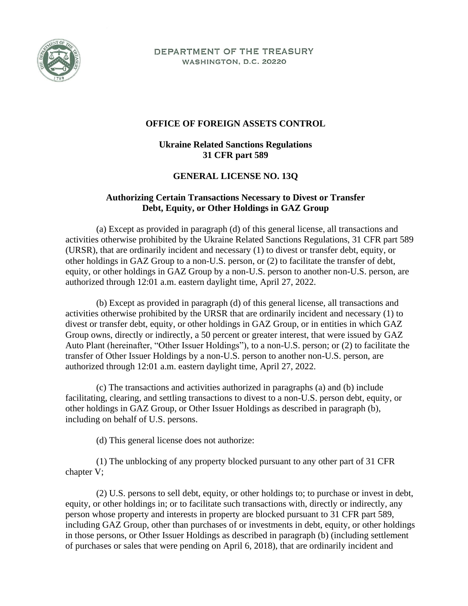

DEPARTMENT OF THE TREASURY WASHINGTON, D.C. 20220

## **OFFICE OF FOREIGN ASSETS CONTROL**

## **Ukraine Related Sanctions Regulations 31 CFR part 589**

## **GENERAL LICENSE NO. 13Q**

## **Authorizing Certain Transactions Necessary to Divest or Transfer Debt, Equity, or Other Holdings in GAZ Group**

(a) Except as provided in paragraph (d) of this general license, all transactions and activities otherwise prohibited by the Ukraine Related Sanctions Regulations, 31 CFR part 589 (URSR), that are ordinarily incident and necessary (1) to divest or transfer debt, equity, or other holdings in GAZ Group to a non-U.S. person, or (2) to facilitate the transfer of debt, equity, or other holdings in GAZ Group by a non-U.S. person to another non-U.S. person, are authorized through 12:01 a.m. eastern daylight time, April 27, 2022.

(b) Except as provided in paragraph (d) of this general license, all transactions and activities otherwise prohibited by the URSR that are ordinarily incident and necessary (1) to divest or transfer debt, equity, or other holdings in GAZ Group, or in entities in which GAZ Group owns, directly or indirectly, a 50 percent or greater interest, that were issued by GAZ Auto Plant (hereinafter, "Other Issuer Holdings"), to a non-U.S. person; or (2) to facilitate the transfer of Other Issuer Holdings by a non-U.S. person to another non-U.S. person, are authorized through 12:01 a.m. eastern daylight time, April 27, 2022.

(c) The transactions and activities authorized in paragraphs (a) and (b) include facilitating, clearing, and settling transactions to divest to a non-U.S. person debt, equity, or other holdings in GAZ Group, or Other Issuer Holdings as described in paragraph (b), including on behalf of U.S. persons.

(d) This general license does not authorize:

(1) The unblocking of any property blocked pursuant to any other part of 31 CFR chapter V;

(2) U.S. persons to sell debt, equity, or other holdings to; to purchase or invest in debt, equity, or other holdings in; or to facilitate such transactions with, directly or indirectly, any person whose property and interests in property are blocked pursuant to 31 CFR part 589, including GAZ Group, other than purchases of or investments in debt, equity, or other holdings in those persons, or Other Issuer Holdings as described in paragraph (b) (including settlement of purchases or sales that were pending on April 6, 2018), that are ordinarily incident and